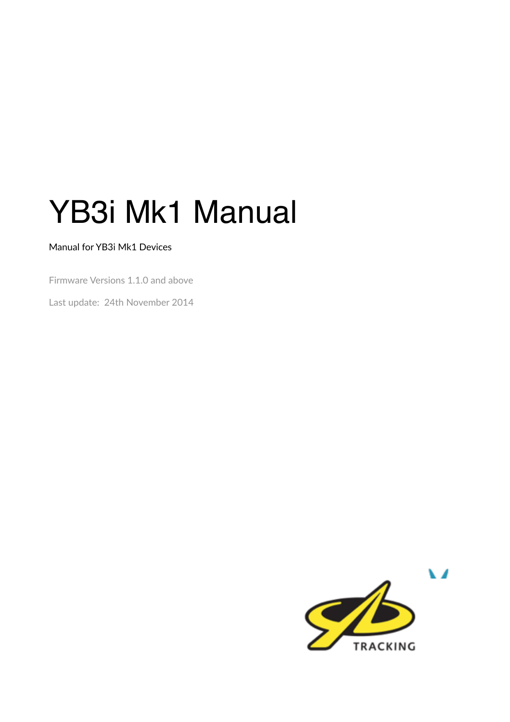# YB3i Mk1 Manual

#### Manual for YB3i Mk1 Devices

Firmware Versions 1.1.0 and above

Last update: 24th November 2014

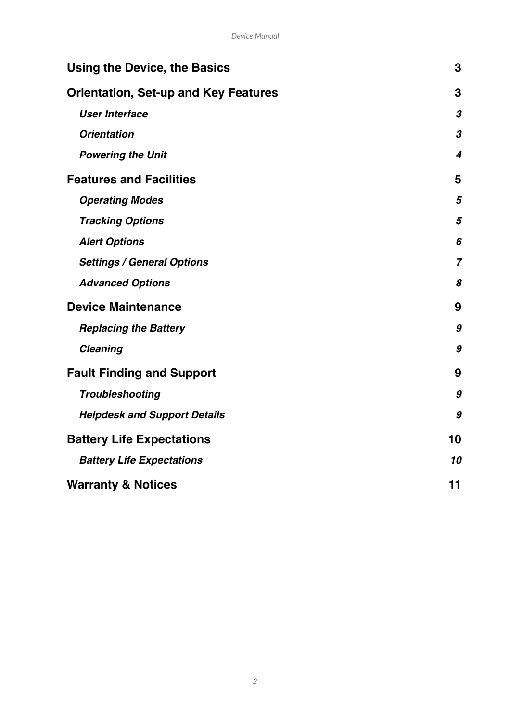| Using the Device, the Basics                |                  |  |
|---------------------------------------------|------------------|--|
| <b>Orientation, Set-up and Key Features</b> |                  |  |
| <b>User Interface</b>                       | $\boldsymbol{3}$ |  |
| <b>Orientation</b>                          | 3                |  |
| <b>Powering the Unit</b>                    | 4                |  |
| <b>Features and Facilities</b>              | 5                |  |
| <b>Operating Modes</b>                      | 5                |  |
| <b>Tracking Options</b>                     | 5                |  |
| <b>Alert Options</b>                        | 6                |  |
| <b>Settings / General Options</b>           | $\overline{7}$   |  |
| <b>Advanced Options</b>                     | 8                |  |
| <b>Device Maintenance</b>                   | 9                |  |
| <b>Replacing the Battery</b>                | 9                |  |
| <b>Cleaning</b>                             | 9                |  |
| <b>Fault Finding and Support</b>            | 9                |  |
| <b>Troubleshooting</b>                      | 9                |  |
| <b>Helpdesk and Support Details</b>         | 9                |  |
| <b>Battery Life Expectations</b>            | 10               |  |
| <b>Battery Life Expectations</b>            | 10               |  |
| <b>Warranty &amp; Notices</b>               | 11               |  |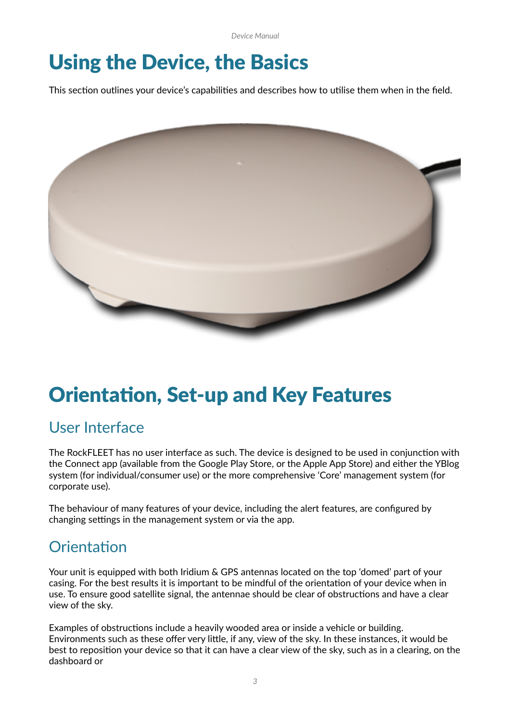*Device Manual*

## Using the Device, the Basics

This section outlines your device's capabilities and describes how to utilise them when in the field.



## **Orientation, Set-up and Key Features**

### User Interface

The RockFLEET has no user interface as such. The device is designed to be used in conjunction with the Connect app (available from the Google Play Store, or the Apple App Store) and either the YBlog system (for individual/consumer use) or the more comprehensive 'Core' management system (for corporate use).

The behaviour of many features of your device, including the alert features, are configured by changing settings in the management system or via the app.

### Orientation

Your unit is equipped with both Iridium & GPS antennas located on the top 'domed' part of your casing. For the best results it is important to be mindful of the orientation of your device when in use. To ensure good satellite signal, the antennae should be clear of obstructions and have a clear view of the sky.

Examples of obstructions include a heavily wooded area or inside a vehicle or building. Environments such as these offer very little, if any, view of the sky. In these instances, it would be best to reposition your device so that it can have a clear view of the sky, such as in a clearing, on the dashboard or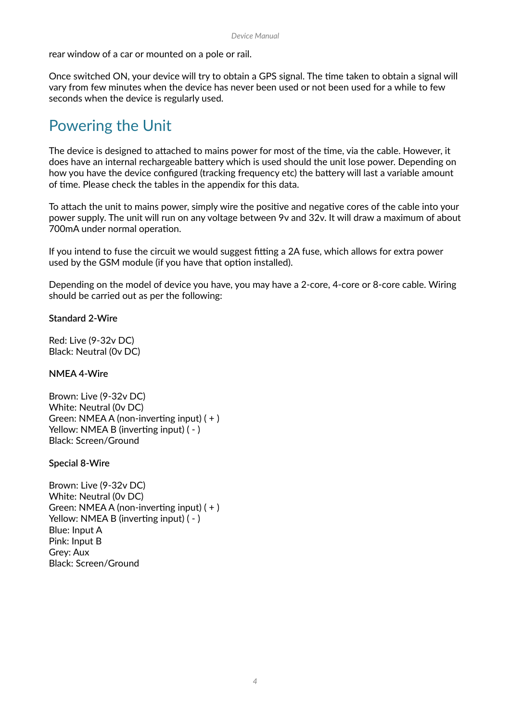rear window of a car or mounted on a pole or rail.

Once switched ON, your device will try to obtain a GPS signal. The time taken to obtain a signal will vary from few minutes when the device has never been used or not been used for a while to few seconds when the device is regularly used.

### Powering the Unit

The device is designed to attached to mains power for most of the time, via the cable. However, it does have an internal rechargeable battery which is used should the unit lose power. Depending on how you have the device configured (tracking frequency etc) the battery will last a variable amount of time. Please check the tables in the appendix for this data.

To attach the unit to mains power, simply wire the positive and negative cores of the cable into your power supply. The unit will run on any voltage between 9v and 32v. It will draw a maximum of about 700mA under normal operation.

If you intend to fuse the circuit we would suggest fitting a 2A fuse, which allows for extra power used by the GSM module (if you have that option installed).

Depending on the model of device you have, you may have a 2-core, 4-core or 8-core cable. Wiring should be carried out as per the following:

**Standard 2-Wire**

Red: Live (9-32v DC) Black: Neutral (0v DC)

**NMEA 4-Wire** 

Brown: Live (9-32v DC) White: Neutral (0v DC) Green: NMEA A (non-inverting input)  $( + )$ Yellow: NMEA B (inverting input)  $(-)$ Black: Screen/Ground

**Special 8-Wire** 

Brown: Live (9-32v DC) White: Neutral (0v DC) Green: NMEA A (non-inverting input)  $( + )$ Yellow: NMEA B (inverting input)  $(-)$ Blue: Input A Pink: Input B Grey: Aux Black: Screen/Ground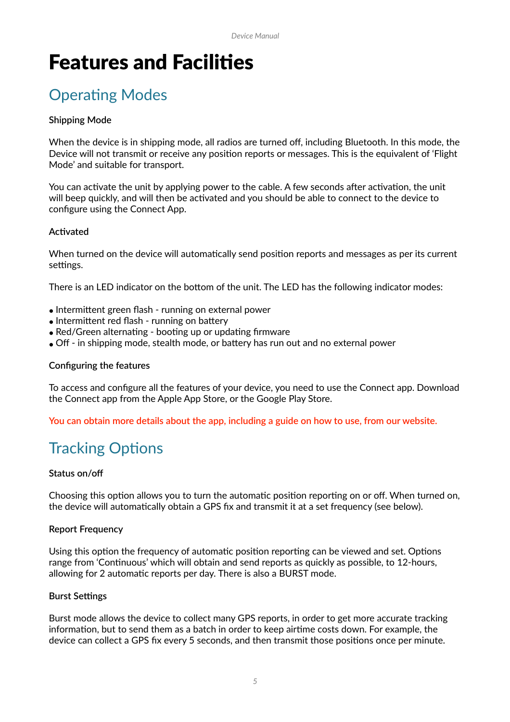## **Features and Facilities**

## **Operating Modes**

#### **Shipping Mode**

When the device is in shipping mode, all radios are turned off, including Bluetooth. In this mode, the Device will not transmit or receive any position reports or messages. This is the equivalent of 'Flight Mode' and suitable for transport.

You can activate the unit by applying power to the cable. A few seconds after activation, the unit will beep quickly, and will then be activated and you should be able to connect to the device to configure using the Connect App.

#### **Ac9vated**

When turned on the device will automatically send position reports and messages as per its current settings.

There is an LED indicator on the bottom of the unit. The LED has the following indicator modes:

- $\bullet$  Intermittent green flash running on external power
- $\bullet$  Intermittent red flash running on battery
- Red/Green alternating booting up or updating firmware
- Off in shipping mode, stealth mode, or battery has run out and no external power

#### **Configuring the features**

To access and configure all the features of your device, you need to use the Connect app. Download the Connect app from the Apple App Store, or the Google Play Store.

**You can obtain more details about the app, including a guide on how to use, from our website.**

## **Tracking Options**

#### **Status on/off**

Choosing this option allows you to turn the automatic position reporting on or off. When turned on, the device will automatically obtain a GPS fix and transmit it at a set frequency (see below).

#### **Report Frequency**

Using this option the frequency of automatic position reporting can be viewed and set. Options range from 'Continuous' which will obtain and send reports as quickly as possible, to 12-hours, allowing for 2 automatic reports per day. There is also a BURST mode.

#### **Burst Settings**

Burst mode allows the device to collect many GPS reports, in order to get more accurate tracking information, but to send them as a batch in order to keep airtime costs down. For example, the device can collect a GPS fix every 5 seconds, and then transmit those positions once per minute.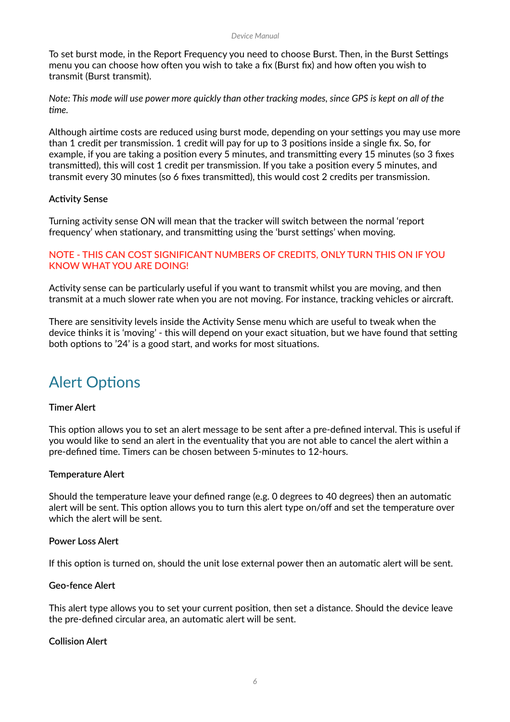To set burst mode, in the Report Frequency you need to choose Burst. Then, in the Burst Settings menu you can choose how often you wish to take a fix (Burst fix) and how often you wish to transmit (Burst transmit).

*Note: This mode will use power more quickly than other tracking modes, since GPS is kept on all of the Fme.*

Although airtime costs are reduced using burst mode, depending on your settings you may use more than 1 credit per transmission. 1 credit will pay for up to 3 positions inside a single fix. So, for example, if you are taking a position every 5 minutes, and transmitting every 15 minutes (so 3 fixes transmitted), this will cost 1 credit per transmission. If you take a position every 5 minutes, and transmit every 30 minutes (so 6 fixes transmitted), this would cost 2 credits per transmission.

#### **Activity Sense**

Turning activity sense ON will mean that the tracker will switch between the normal 'report frequency' when stationary, and transmitting using the 'burst settings' when moving.

#### **NOTE - THIS CAN COST SIGNIFICANT NUMBERS OF CREDITS, ONLY TURN THIS ON IF YOU KNOW WHAT YOU ARE DOING!**

Activity sense can be particularly useful if you want to transmit whilst you are moving, and then transmit at a much slower rate when you are not moving. For instance, tracking vehicles or aircraft.

There are sensitivity levels inside the Activity Sense menu which are useful to tweak when the device thinks it is 'moving' - this will depend on your exact situation, but we have found that setting both options to '24' is a good start, and works for most situations.

### **Alert Options**

#### **Timer Alert**

This option allows you to set an alert message to be sent after a pre-defined interval. This is useful if you would like to send an alert in the eventuality that you are not able to cancel the alert within a pre-defined time. Timers can be chosen between 5-minutes to 12-hours.

#### **Temperature Alert**

Should the temperature leave your defined range (e.g. 0 degrees to 40 degrees) then an automatic alert will be sent. This option allows you to turn this alert type on/off and set the temperature over which the alert will be sent.

#### **Power Loss Alert**

If this option is turned on, should the unit lose external power then an automatic alert will be sent.

#### **Geo-fence Alert**

This alert type allows you to set your current position, then set a distance. Should the device leave the pre-defined circular area, an automatic alert will be sent.

#### **Collision Alert**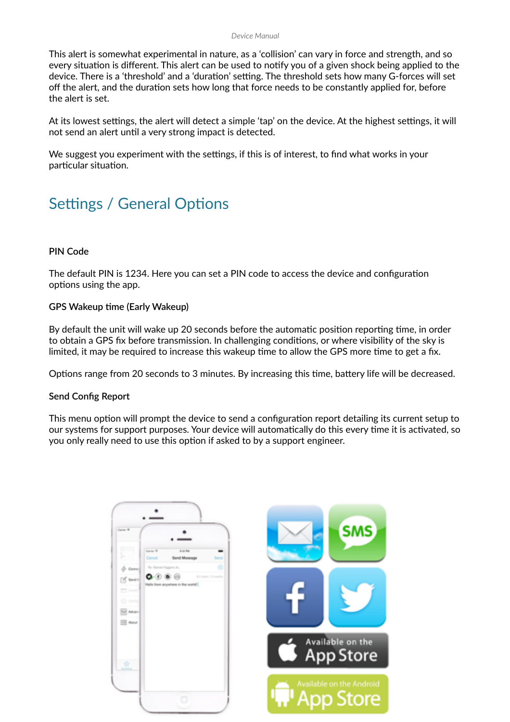This alert is somewhat experimental in nature, as a 'collision' can vary in force and strength, and so every situation is different. This alert can be used to notify you of a given shock being applied to the device. There is a 'threshold' and a 'duration' setting. The threshold sets how many G-forces will set off the alert, and the duration sets how long that force needs to be constantly applied for, before the alert is set.

At its lowest settings, the alert will detect a simple 'tap' on the device. At the highest settings, it will not send an alert until a very strong impact is detected.

We suggest you experiment with the settings, if this is of interest, to find what works in your particular situation.

### Settings / General Options

#### **PIN Code**

The default PIN is 1234. Here you can set a PIN code to access the device and configuration options using the app.

#### **GPS Wakeup time (Early Wakeup)**

By default the unit will wake up 20 seconds before the automatic position reporting time, in order to obtain a GPS fix before transmission. In challenging conditions, or where visibility of the sky is limited, it may be required to increase this wakeup time to allow the GPS more time to get a fix.

Options range from 20 seconds to 3 minutes. By increasing this time, battery life will be decreased.

#### **Send Config Report**

This menu option will prompt the device to send a configuration report detailing its current setup to our systems for support purposes. Your device will automatically do this every time it is activated, so you only really need to use this option if asked to by a support engineer.

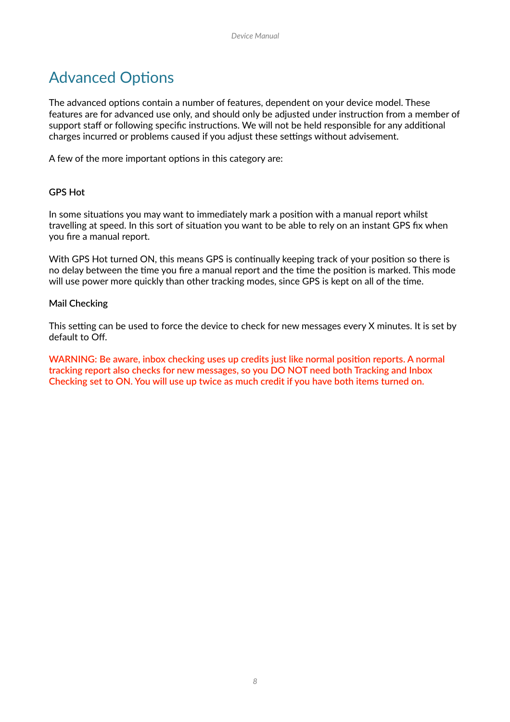## **Advanced Options**

The advanced options contain a number of features, dependent on your device model. These features are for advanced use only, and should only be adjusted under instruction from a member of support staff or following specific instructions. We will not be held responsible for any additional charges incurred or problems caused if you adjust these settings without advisement.

A few of the more important options in this category are:

#### **GPS Hot**

In some situations you may want to immediately mark a position with a manual report whilst travelling at speed. In this sort of situation you want to be able to rely on an instant GPS fix when you fire a manual report.

With GPS Hot turned ON, this means GPS is continually keeping track of your position so there is no delay between the time you fire a manual report and the time the position is marked. This mode will use power more quickly than other tracking modes, since GPS is kept on all of the time.

#### **Mail Checking**

This setting can be used to force the device to check for new messages every X minutes. It is set by default to Off.

**WARNING: Be aware, inbox checking uses up credits just like normal position reports. A normal tracking report also checks for new messages, so you DO NOT need both Tracking and Inbox Checking set to ON. You will use up twice as much credit if you have both items turned on.**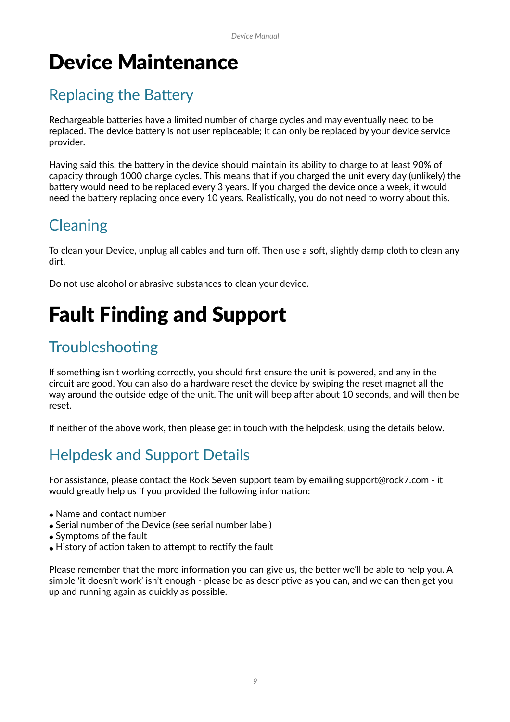## Device Maintenance

## **Replacing the Battery**

Rechargeable batteries have a limited number of charge cycles and may eventually need to be replaced. The device battery is not user replaceable; it can only be replaced by your device service provider.

Having said this, the battery in the device should maintain its ability to charge to at least 90% of capacity through 1000 charge cycles. This means that if you charged the unit every day (unlikely) the battery would need to be replaced every 3 years. If you charged the device once a week, it would need the battery replacing once every 10 years. Realistically, you do not need to worry about this.

## **Cleaning**

To clean your Device, unplug all cables and turn off. Then use a soft, slightly damp cloth to clean any dirt.

Do not use alcohol or abrasive substances to clean your device.

## Fault Finding and Support

## Troubleshooting

If something isn't working correctly, you should first ensure the unit is powered, and any in the circuit are good. You can also do a hardware reset the device by swiping the reset magnet all the way around the outside edge of the unit. The unit will beep after about 10 seconds, and will then be reset.

If neither of the above work, then please get in touch with the helpdesk, using the details below.

## Helpdesk and Support Details

For assistance, please contact the Rock Seven support team by emailing support@rock7.com - it would greatly help us if you provided the following information:

- Name and contact number
- Serial number of the Device (see serial number label)
- Symptoms of the fault
- History of action taken to attempt to rectify the fault

Please remember that the more information you can give us, the better we'll be able to help you. A simple 'it doesn't work' isn't enough - please be as descriptive as you can, and we can then get you up and running again as quickly as possible.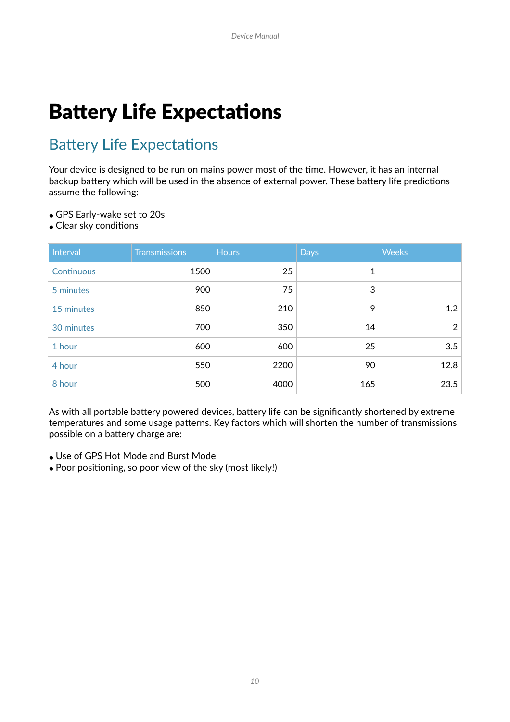## **Battery Life Expectations**

### **Battery Life Expectations**

Your device is designed to be run on mains power most of the time. However, it has an internal backup battery which will be used in the absence of external power. These battery life predictions assume the following:

- GPS Early-wake set to 20s
- $\bullet$  Clear sky conditions

| Interval   | <b>Transmissions</b> | <b>Hours</b> | <b>Days</b> | <b>Weeks</b>   |
|------------|----------------------|--------------|-------------|----------------|
| Continuous | 1500                 | 25           | 1           |                |
| 5 minutes  | 900                  | 75           | 3           |                |
| 15 minutes | 850                  | 210          | 9           | 1.2            |
| 30 minutes | 700                  | 350          | 14          | $\overline{2}$ |
| 1 hour     | 600                  | 600          | 25          | 3.5            |
| 4 hour     | 550                  | 2200         | 90          | 12.8           |
| 8 hour     | 500                  | 4000         | 165         | 23.5           |

As with all portable battery powered devices, battery life can be significantly shortened by extreme temperatures and some usage patterns. Key factors which will shorten the number of transmissions possible on a battery charge are:

- Use of GPS Hot Mode and Burst Mode
- Poor positioning, so poor view of the sky (most likely!)